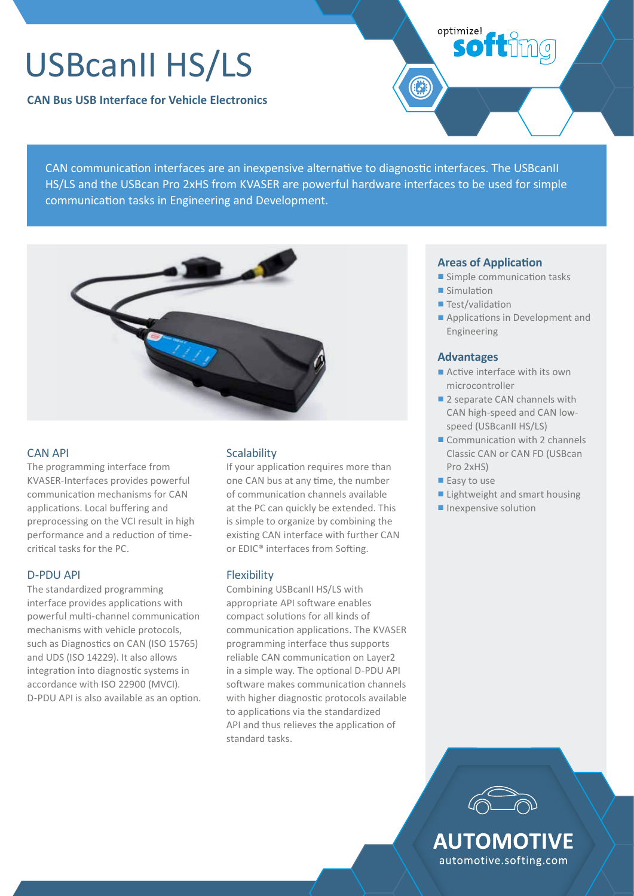# USBcanII HS/LS

**CAN Bus USB Interface for Vehicle Electronics**

CAN communication interfaces are an inexpensive alternative to diagnostic interfaces. The USBcanII HS/LS and the USBcan Pro 2xHS from KVASER are powerful hardware interfaces to be used for simple communication tasks in Engineering and Development.



#### CAN API

The programming interface from KVASER-Interfaces provides powerful communication mechanisms for CAN applications. Local buffering and preprocessing on the VCI result in high performance and a reduction of timecritical tasks for the PC.

#### D-PDU API

The standardized programming interface provides applications with powerful multi-channel communication mechanisms with vehicle protocols, such as Diagnostics on CAN (ISO 15765) and UDS (ISO 14229). It also allows integration into diagnostic systems in accordance with ISO 22900 (MVCI). D-PDU API is also available as an option.

### **Scalability**

If your application requires more than one CAN bus at any time, the number of communication channels available at the PC can quickly be extended. This is simple to organize by combining the existing CAN interface with further CAN or EDIC® interfaces from Softing.

#### Flexibility

Combining USBcanII HS/LS with appropriate API software enables compact solutions for all kinds of communication applications. The KVASER programming interface thus supports reliable CAN communication on Layer2 in a simple way. The optional D-PDU API software makes communication channels with higher diagnostic protocols available to applications via the standardized API and thus relieves the application of standard tasks.

#### **Areas of Application**

■ Simple communication tasks

**softimg** 

■ Simulation

optimize!

- Test/validation
- Applications in Development and Engineering

#### **Advantages**

- Active interface with its own microcontroller
- 2 separate CAN channels with CAN high-speed and CAN lowspeed (USBcanII HS/LS)
- Communication with 2 channels Classic CAN or CAN FD (USBcan Pro 2xHS)
- Easy to use
- Lightweight and smart housing
- Inexpensive solution



automotive.softing.com